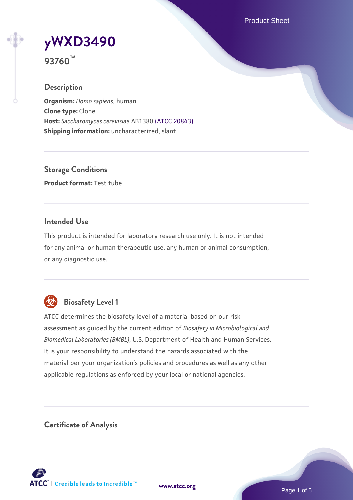Product Sheet

# **[yWXD3490](https://www.atcc.org/products/93760)**

**93760™**

# **Description**

**Organism:** *Homo sapiens*, human **Clone type:** Clone **Host:** *Saccharomyces cerevisiae* AB1380 [\(ATCC 20843\)](https://www.atcc.org/products/20843) **Shipping information:** uncharacterized, slant

**Storage Conditions Product format:** Test tube

# **Intended Use**

This product is intended for laboratory research use only. It is not intended for any animal or human therapeutic use, any human or animal consumption, or any diagnostic use.



# **Biosafety Level 1**

ATCC determines the biosafety level of a material based on our risk assessment as guided by the current edition of *Biosafety in Microbiological and Biomedical Laboratories (BMBL)*, U.S. Department of Health and Human Services. It is your responsibility to understand the hazards associated with the material per your organization's policies and procedures as well as any other applicable regulations as enforced by your local or national agencies.

**Certificate of Analysis**

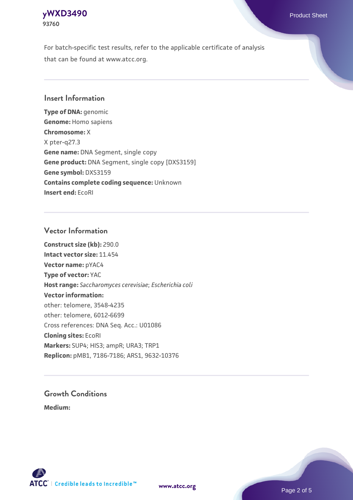# **[yWXD3490](https://www.atcc.org/products/93760)** Product Sheet **93760**

For batch-specific test results, refer to the applicable certificate of analysis that can be found at www.atcc.org.

# **Insert Information**

**Type of DNA:** genomic **Genome:** Homo sapiens **Chromosome:** X X pter-q27.3 **Gene name:** DNA Segment, single copy **Gene product:** DNA Segment, single copy [DXS3159] **Gene symbol:** DXS3159 **Contains complete coding sequence:** Unknown **Insert end:** EcoRI

#### **Vector Information**

**Construct size (kb):** 290.0 **Intact vector size:** 11.454 **Vector name:** pYAC4 **Type of vector:** YAC **Host range:** *Saccharomyces cerevisiae*; *Escherichia coli* **Vector information:** other: telomere, 3548-4235 other: telomere, 6012-6699 Cross references: DNA Seq. Acc.: U01086 **Cloning sites:** EcoRI **Markers:** SUP4; HIS3; ampR; URA3; TRP1 **Replicon:** pMB1, 7186-7186; ARS1, 9632-10376

# **Growth Conditions**

**Medium:** 



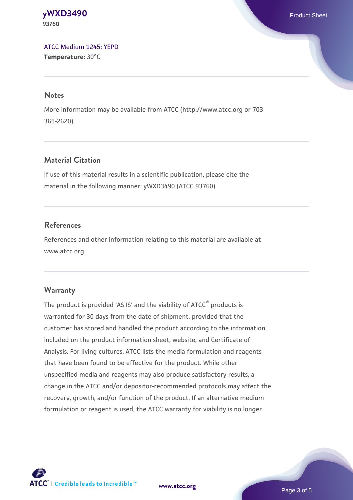**[yWXD3490](https://www.atcc.org/products/93760)** Product Sheet **93760**

[ATCC Medium 1245: YEPD](https://www.atcc.org/-/media/product-assets/documents/microbial-media-formulations/1/2/4/5/atcc-medium-1245.pdf?rev=705ca55d1b6f490a808a965d5c072196) **Temperature:** 30°C

#### **Notes**

More information may be available from ATCC (http://www.atcc.org or 703- 365-2620).

# **Material Citation**

If use of this material results in a scientific publication, please cite the material in the following manner: yWXD3490 (ATCC 93760)

# **References**

References and other information relating to this material are available at www.atcc.org.

#### **Warranty**

The product is provided 'AS IS' and the viability of ATCC® products is warranted for 30 days from the date of shipment, provided that the customer has stored and handled the product according to the information included on the product information sheet, website, and Certificate of Analysis. For living cultures, ATCC lists the media formulation and reagents that have been found to be effective for the product. While other unspecified media and reagents may also produce satisfactory results, a change in the ATCC and/or depositor-recommended protocols may affect the recovery, growth, and/or function of the product. If an alternative medium formulation or reagent is used, the ATCC warranty for viability is no longer



**[www.atcc.org](http://www.atcc.org)**

Page 3 of 5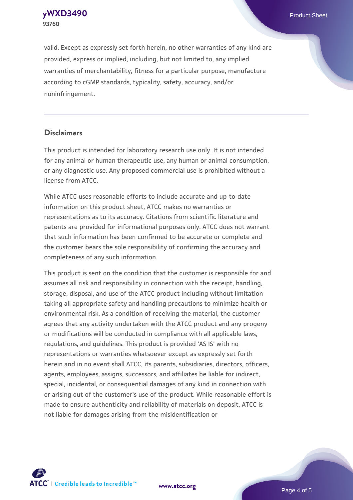**[yWXD3490](https://www.atcc.org/products/93760)** Product Sheet **93760**

valid. Except as expressly set forth herein, no other warranties of any kind are provided, express or implied, including, but not limited to, any implied warranties of merchantability, fitness for a particular purpose, manufacture according to cGMP standards, typicality, safety, accuracy, and/or noninfringement.

#### **Disclaimers**

This product is intended for laboratory research use only. It is not intended for any animal or human therapeutic use, any human or animal consumption, or any diagnostic use. Any proposed commercial use is prohibited without a license from ATCC.

While ATCC uses reasonable efforts to include accurate and up-to-date information on this product sheet, ATCC makes no warranties or representations as to its accuracy. Citations from scientific literature and patents are provided for informational purposes only. ATCC does not warrant that such information has been confirmed to be accurate or complete and the customer bears the sole responsibility of confirming the accuracy and completeness of any such information.

This product is sent on the condition that the customer is responsible for and assumes all risk and responsibility in connection with the receipt, handling, storage, disposal, and use of the ATCC product including without limitation taking all appropriate safety and handling precautions to minimize health or environmental risk. As a condition of receiving the material, the customer agrees that any activity undertaken with the ATCC product and any progeny or modifications will be conducted in compliance with all applicable laws, regulations, and guidelines. This product is provided 'AS IS' with no representations or warranties whatsoever except as expressly set forth herein and in no event shall ATCC, its parents, subsidiaries, directors, officers, agents, employees, assigns, successors, and affiliates be liable for indirect, special, incidental, or consequential damages of any kind in connection with or arising out of the customer's use of the product. While reasonable effort is made to ensure authenticity and reliability of materials on deposit, ATCC is not liable for damages arising from the misidentification or



**[www.atcc.org](http://www.atcc.org)**

Page 4 of 5